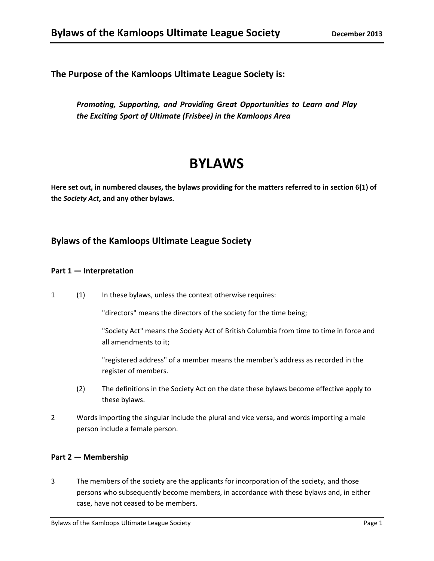**The Purpose of the Kamloops Ultimate League Society is:**

*Promoting, Supporting, and Providing Great Opportunities to Learn and Play the Exciting Sport of Ultimate (Frisbee) in the Kamloops Area*

# **BYLAWS**

Here set out, in numbered clauses, the bylaws providing for the matters referred to in section 6(1) of **the** *Society Act***, and any other bylaws.**

# **Bylaws of the Kamloops Ultimate League Society**

#### **Part 1 — Interpretation**

1 (1) In these bylaws, unless the context otherwise requires:

"directors" means the directors of the society for the time being;

"Society Act" means the Society Act of British Columbia from time to time in force and all amendments to it;

"registered address" of a member means the member's address as recorded in the register of members.

- (2) The definitions in the Society Act on the date these bylaws become effective apply to these bylaws.
- 2 Words importing the singular include the plural and vice versa, and words importing a male person include a female person.

# **Part 2 — Membership**

3 The members of the society are the applicants for incorporation of the society, and those persons who subsequently become members, in accordance with these bylaws and, in either case, have not ceased to be members.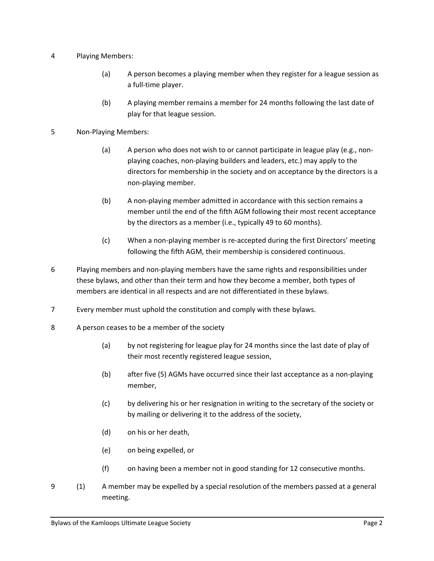- 4 Playing Members:
	- (a) A person becomes a playing member when they register for a league session as a full‐time player.
	- (b) A playing member remains a member for 24 months following the last date of play for that league session.
- 5 Non‐Playing Members:
	- (a) A person who does not wish to or cannot participate in league play (e.g., nonplaying coaches, non‐playing builders and leaders, etc.) may apply to the directors for membership in the society and on acceptance by the directors is a non‐playing member.
	- (b) A non‐playing member admitted in accordance with this section remains a member until the end of the fifth AGM following their most recent acceptance by the directors as a member (i.e., typically 49 to 60 months).
	- (c) When a non‐playing member is re‐accepted during the first Directors' meeting following the fifth AGM, their membership is considered continuous.
- 6 Playing members and non‐playing members have the same rights and responsibilities under these bylaws, and other than their term and how they become a member, both types of members are identical in all respects and are not differentiated in these bylaws.
- 7 Every member must uphold the constitution and comply with these bylaws.
- 8 A person ceases to be a member of the society
	- (a) by not registering for league play for 24 months since the last date of play of their most recently registered league session,
	- (b) after five (5) AGMs have occurred since their last acceptance as a non‐playing member,
	- (c) by delivering his or her resignation in writing to the secretary of the society or by mailing or delivering it to the address of the society,
	- (d) on his or her death,
	- (e) on being expelled, or
	- (f) on having been a member not in good standing for 12 consecutive months.
- 9 (1) A member may be expelled by a special resolution of the members passed at a general meeting.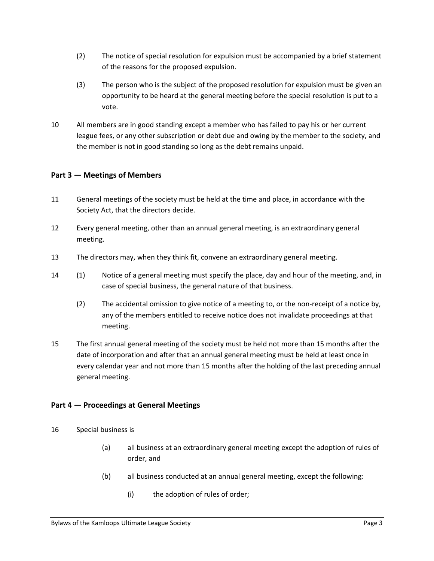- (2) The notice of special resolution for expulsion must be accompanied by a brief statement of the reasons for the proposed expulsion.
- (3) The person who is the subject of the proposed resolution for expulsion must be given an opportunity to be heard at the general meeting before the special resolution is put to a vote.
- 10 All members are in good standing except a member who has failed to pay his or her current league fees, or any other subscription or debt due and owing by the member to the society, and the member is not in good standing so long as the debt remains unpaid.

#### **Part 3 — Meetings of Members**

- 11 General meetings of the society must be held at the time and place, in accordance with the Society Act, that the directors decide.
- 12 Every general meeting, other than an annual general meeting, is an extraordinary general meeting.
- 13 The directors may, when they think fit, convene an extraordinary general meeting.
- 14 (1) Notice of a general meeting must specify the place, day and hour of the meeting, and, in case of special business, the general nature of that business.
	- (2) The accidental omission to give notice of a meeting to, or the non‐receipt of a notice by, any of the members entitled to receive notice does not invalidate proceedings at that meeting.
- 15 The first annual general meeting of the society must be held not more than 15 months after the date of incorporation and after that an annual general meeting must be held at least once in every calendar year and not more than 15 months after the holding of the last preceding annual general meeting.

#### **Part 4 — Proceedings at General Meetings**

- 16 Special business is
	- (a) all business at an extraordinary general meeting except the adoption of rules of order, and
	- (b) all business conducted at an annual general meeting, except the following:
		- (i) the adoption of rules of order;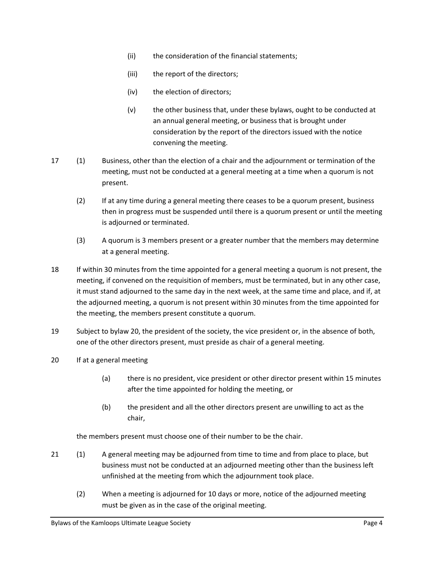- (ii) the consideration of the financial statements;
- (iii) the report of the directors;
- (iv) the election of directors;
- (v) the other business that, under these bylaws, ought to be conducted at an annual general meeting, or business that is brought under consideration by the report of the directors issued with the notice convening the meeting.
- 17 (1) Business, other than the election of a chair and the adjournment or termination of the meeting, must not be conducted at a general meeting at a time when a quorum is not present.
	- (2) If at any time during a general meeting there ceases to be a quorum present, business then in progress must be suspended until there is a quorum present or until the meeting is adjourned or terminated.
	- (3) A quorum is 3 members present or a greater number that the members may determine at a general meeting.
- 18 If within 30 minutes from the time appointed for a general meeting a quorum is not present, the meeting, if convened on the requisition of members, must be terminated, but in any other case, it must stand adjourned to the same day in the next week, at the same time and place, and if, at the adjourned meeting, a quorum is not present within 30 minutes from the time appointed for the meeting, the members present constitute a quorum.
- 19 Subject to bylaw 20, the president of the society, the vice president or, in the absence of both, one of the other directors present, must preside as chair of a general meeting.
- 20 If at a general meeting
	- (a) there is no president, vice president or other director present within 15 minutes after the time appointed for holding the meeting, or
	- (b) the president and all the other directors present are unwilling to act as the chair,

the members present must choose one of their number to be the chair.

- 21 (1) A general meeting may be adjourned from time to time and from place to place, but business must not be conducted at an adjourned meeting other than the business left unfinished at the meeting from which the adjournment took place.
	- (2) When a meeting is adjourned for 10 days or more, notice of the adjourned meeting must be given as in the case of the original meeting.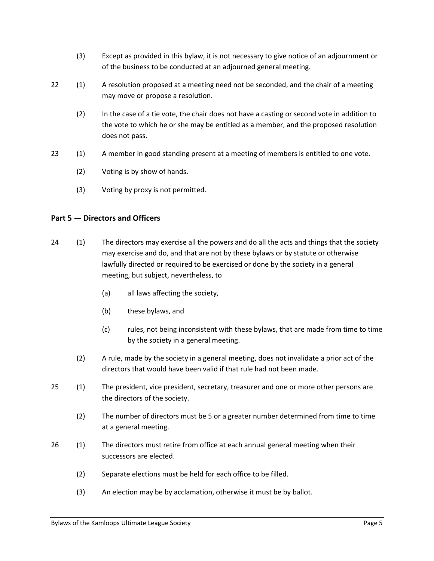- (3) Except as provided in this bylaw, it is not necessary to give notice of an adjournment or of the business to be conducted at an adjourned general meeting.
- 22 (1) A resolution proposed at a meeting need not be seconded, and the chair of a meeting may move or propose a resolution.
	- (2) In the case of a tie vote, the chair does not have a casting or second vote in addition to the vote to which he or she may be entitled as a member, and the proposed resolution does not pass.
- 23 (1) A member in good standing present at a meeting of members is entitled to one vote.
	- (2) Voting is by show of hands.
	- (3) Voting by proxy is not permitted.

#### **Part 5 — Directors and Officers**

- 24 (1) The directors may exercise all the powers and do all the acts and things that the society may exercise and do, and that are not by these bylaws or by statute or otherwise lawfully directed or required to be exercised or done by the society in a general meeting, but subject, nevertheless, to
	- (a) all laws affecting the society,
	- (b) these bylaws, and
	- (c) rules, not being inconsistent with these bylaws, that are made from time to time by the society in a general meeting.
	- (2) A rule, made by the society in a general meeting, does not invalidate a prior act of the directors that would have been valid if that rule had not been made.
- 25 (1) The president, vice president, secretary, treasurer and one or more other persons are the directors of the society.
	- (2) The number of directors must be 5 or a greater number determined from time to time at a general meeting.
- 26 (1) The directors must retire from office at each annual general meeting when their successors are elected.
	- (2) Separate elections must be held for each office to be filled.
	- (3) An election may be by acclamation, otherwise it must be by ballot.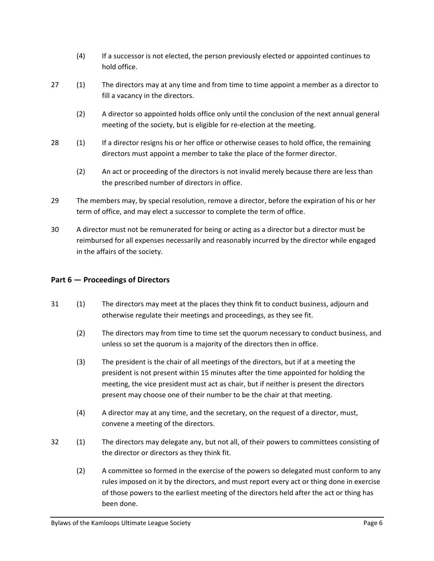- (4) If a successor is not elected, the person previously elected or appointed continues to hold office.
- 27 (1) The directors may at any time and from time to time appoint a member as a director to fill a vacancy in the directors.
	- (2) A director so appointed holds office only until the conclusion of the next annual general meeting of the society, but is eligible for re-election at the meeting.
- 28 (1) If a director resigns his or her office or otherwise ceases to hold office, the remaining directors must appoint a member to take the place of the former director.
	- (2) An act or proceeding of the directors is not invalid merely because there are less than the prescribed number of directors in office.
- 29 The members may, by special resolution, remove a director, before the expiration of his or her term of office, and may elect a successor to complete the term of office.
- 30 A director must not be remunerated for being or acting as a director but a director must be reimbursed for all expenses necessarily and reasonably incurred by the director while engaged in the affairs of the society.

# **Part 6 — Proceedings of Directors**

- 31 (1) The directors may meet at the places they think fit to conduct business, adjourn and otherwise regulate their meetings and proceedings, as they see fit.
	- (2) The directors may from time to time set the quorum necessary to conduct business, and unless so set the quorum is a majority of the directors then in office.
	- (3) The president is the chair of all meetings of the directors, but if at a meeting the president is not present within 15 minutes after the time appointed for holding the meeting, the vice president must act as chair, but if neither is present the directors present may choose one of their number to be the chair at that meeting.
	- (4) A director may at any time, and the secretary, on the request of a director, must, convene a meeting of the directors.
- 32 (1) The directors may delegate any, but not all, of their powers to committees consisting of the director or directors as they think fit.
	- (2) A committee so formed in the exercise of the powers so delegated must conform to any rules imposed on it by the directors, and must report every act or thing done in exercise of those powers to the earliest meeting of the directors held after the act or thing has been done.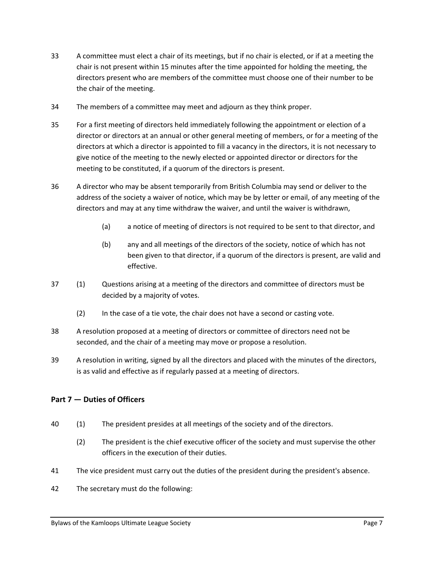- 33 A committee must elect a chair of its meetings, but if no chair is elected, or if at a meeting the chair is not present within 15 minutes after the time appointed for holding the meeting, the directors present who are members of the committee must choose one of their number to be the chair of the meeting.
- 34 The members of a committee may meet and adjourn as they think proper.
- 35 For a first meeting of directors held immediately following the appointment or election of a director or directors at an annual or other general meeting of members, or for a meeting of the directors at which a director is appointed to fill a vacancy in the directors, it is not necessary to give notice of the meeting to the newly elected or appointed director or directors for the meeting to be constituted, if a quorum of the directors is present.
- 36 A director who may be absent temporarily from British Columbia may send or deliver to the address of the society a waiver of notice, which may be by letter or email, of any meeting of the directors and may at any time withdraw the waiver, and until the waiver is withdrawn,
	- (a) a notice of meeting of directors is not required to be sent to that director, and
	- (b) any and all meetings of the directors of the society, notice of which has not been given to that director, if a quorum of the directors is present, are valid and effective.
- 37 (1) Questions arising at a meeting of the directors and committee of directors must be decided by a majority of votes.
	- (2) In the case of a tie vote, the chair does not have a second or casting vote.
- 38 A resolution proposed at a meeting of directors or committee of directors need not be seconded, and the chair of a meeting may move or propose a resolution.
- 39 A resolution in writing, signed by all the directors and placed with the minutes of the directors, is as valid and effective as if regularly passed at a meeting of directors.

# **Part 7 — Duties of Officers**

- 40 (1) The president presides at all meetings of the society and of the directors.
	- (2) The president is the chief executive officer of the society and must supervise the other officers in the execution of their duties.
- 41 The vice president must carry out the duties of the president during the president's absence.
- 42 The secretary must do the following: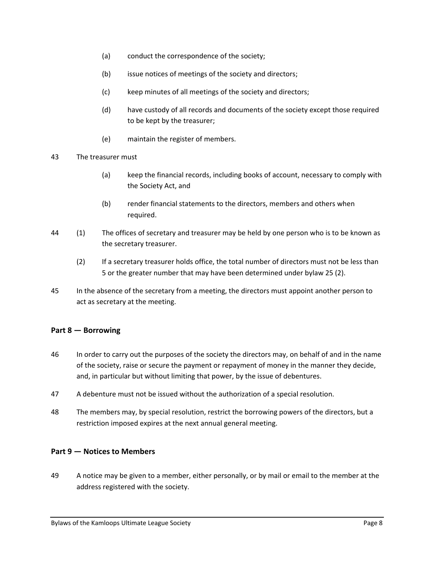- (a) conduct the correspondence of the society;
- (b) issue notices of meetings of the society and directors;
- (c) keep minutes of all meetings of the society and directors;
- (d) have custody of all records and documents of the society except those required to be kept by the treasurer;
- (e) maintain the register of members.
- 43 The treasurer must
	- (a) keep the financial records, including books of account, necessary to comply with the Society Act, and
	- (b) render financial statements to the directors, members and others when required.
- 44 (1) The offices of secretary and treasurer may be held by one person who is to be known as the secretary treasurer.
	- (2) If a secretary treasurer holds office, the total number of directors must not be less than 5 or the greater number that may have been determined under bylaw 25 (2).
- 45 In the absence of the secretary from a meeting, the directors must appoint another person to act as secretary at the meeting.

#### **Part 8 — Borrowing**

- 46 In order to carry out the purposes of the society the directors may, on behalf of and in the name of the society, raise or secure the payment or repayment of money in the manner they decide, and, in particular but without limiting that power, by the issue of debentures.
- 47 A debenture must not be issued without the authorization of a special resolution.
- 48 The members may, by special resolution, restrict the borrowing powers of the directors, but a restriction imposed expires at the next annual general meeting.

#### **Part 9 — Notices to Members**

49 A notice may be given to a member, either personally, or by mail or email to the member at the address registered with the society.